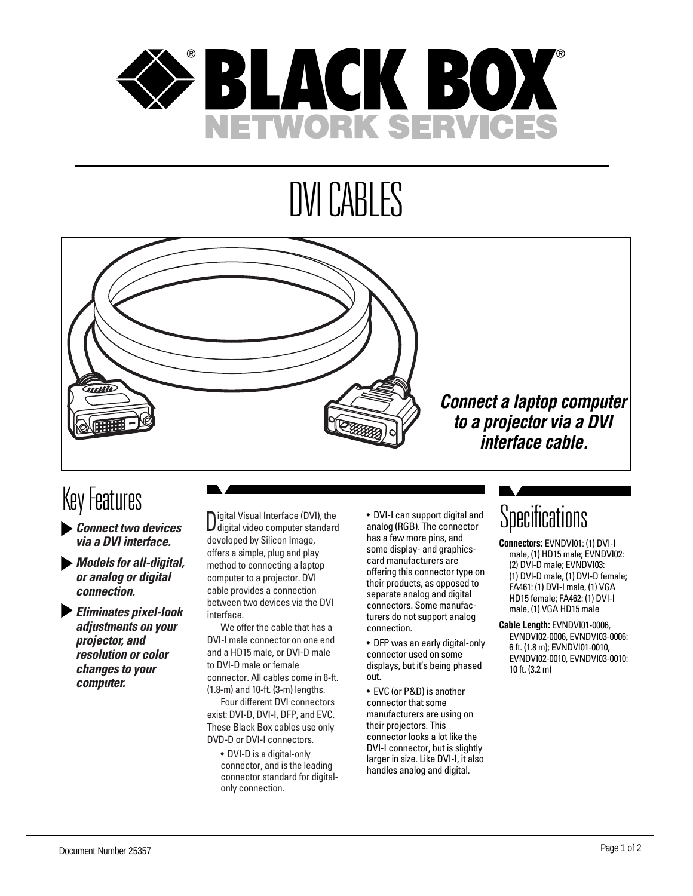

# DVI CABLES



### Key Features

- *Connect two devices via a DVI interface.*
- *Models for all-digital, or analog or digital connection.*
- *Eliminates pixel-look adjustments on your projector, and resolution or color changes to your computer.*

Digital Visual Interface (DVI), the digital video computer standard developed by Silicon Image, offers a simple, plug and play method to connecting a laptop computer to a projector. DVI cable provides a connection between two devices via the DVI interface.

We offer the cable that has a DVI-I male connector on one end and a HD15 male, or DVI-D male to DVI-D male or female connector. All cables come in 6-ft. (1.8-m) and 10-ft. (3-m) lengths.

Four different DVI connectors exist: DVI-D, DVI-I, DFP, and EVC. These Black Box cables use only DVD-D or DVI-I connectors.

• DVI-D is a digital-only connector, and is the leading connector standard for digitalonly connection.

• DVI-I can support digital and analog (RGB). The connector has a few more pins, and some display- and graphicscard manufacturers are offering this connector type on their products, as opposed to separate analog and digital connectors. Some manufacturers do not support analog connection.

- DFP was an early digital-only connector used on some displays, but it's being phased out.
- EVC (or P&D) is another connector that some manufacturers are using on their projectors. This connector looks a lot like the DVI-I connector, but is slightly larger in size. Like DVI-I, it also handles analog and digital.

### **Specifications**

- **Connectors:** EVNDVI01: (1) DVI-I male, (1) HD15 male; EVNDVI02: (2) DVI-D male; EVNDVI03: (1) DVI-D male, (1) DVI-D female; FA461: (1) DVI-I male, (1) VGA HD15 female; FA462: (1) DVI-I male, (1) VGA HD15 male
- **Cable Length:** EVNDVI01-0006, EVNDVI02-0006, EVNDVI03-0006: 6 ft. (1.8 m); EVNDVI01-0010, EVNDVI02-0010, EVNDVI03-0010: 10 ft. (3.2 m)